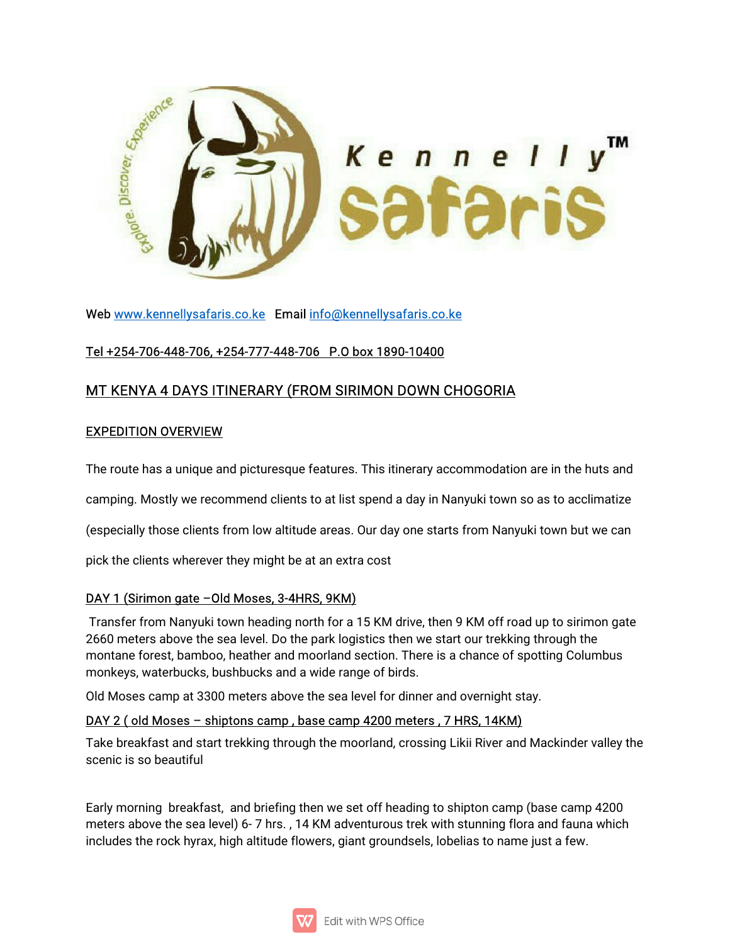

Web www.kennellysafaris.co.ke Email info@kennellysafaris.co.ke

# Tel+254-706-448-706,+254-777-448-706 P.Obox1890-10400

# MT KENYA 4 DAYS ITINERARY (FROM SIRIMON DOWN CHOGORIA

#### **EXPEDITION OVERVIEW**

The route has a unique and picturesque features. This itinerary accommodation are in the huts and

camping. Mostly we recommend clients to at list spend a day in Nanyuki town so as to acclimatize

(especially those clients from low altitude areas. Our day one starts from Nanyuki town but we can

pick the clients wherever they might be at an extra cost

### DAY 1 (Sirimon gate -Old Moses, 3-4HRS, 9KM)

Transfer from Nanyuki town heading north for a 15 KM drive, then 9 KM off road up to sirimon gate 2660 meters above the sea level. Do the park logistics then we start our trekking through the montane forest, bamboo, heather and moorland section. There is a chance of spotting Columbus monkeys, waterbucks, bushbucks and a wide range of birds.

Old Moses camp at 3300 meters above the sea level for dinner and overnight stay.

### DAY 2 (old Moses – shiptons camp, base camp 4200 meters, 7 HRS, 14KM)

Take breakfast and start trekking through the moorland, crossing Likii River and Mackinder valley the scenic is so beautiful

Early morning breakfast, and briefing then we set off heading to shipton camp (base camp 4200) meters above the sea level) 6-7 hrs., 14 KM adventurous trek with stunning flora and fauna which includes the rock hyrax, high altitude flowers, giant groundsels, lobelias to name just a few.

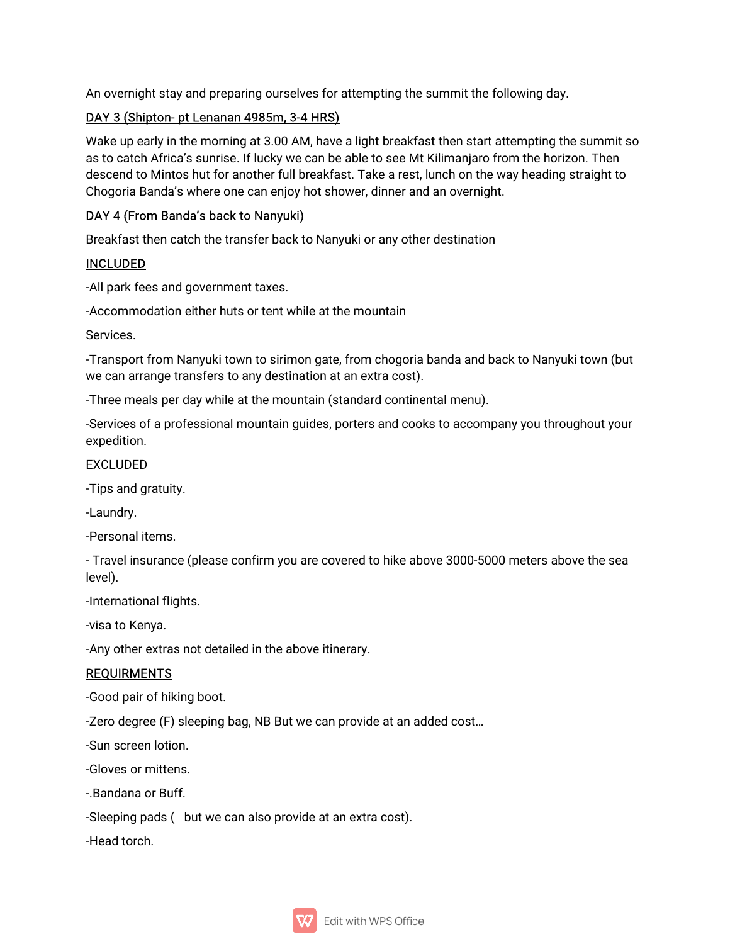An overnight stay and preparing ourselves for attempting the summit the following day.

### DAY 3 (Shipton- pt Lenanan 4985m, 3-4 HRS)

Wake up early in the morning at 3.00 AM, have a light breakfast then start attempting the summit so as to catch Africa's sunrise. If lucky we can be able to see Mt Kilimanjaro from the horizon. Then descend to Mintos hut for another full breakfast. Take a rest, lunch on the way heading straight to Chogoria Banda's where one can enjoy hot shower, dinner and an overnight.

## DAY 4 (From Banda's back to Nanyuki)

Breakfast then catch the transfer back to Nanyuki or any other destination

### INCLUDED

-All park fees and government taxes.

-Accommodation either huts or tent while at the mountain

Services.

-Transport from Nanyuki town to sirimon gate, from chogoria banda and back to Nanyuki town (but we can arrange transfers to any destination at an extra cost).

-Three meals per day while at the mountain (standard continental menu).

-Services of a professional mountain guides, porters and cooks to accompany you throughout your expedition.

EXCLUDED

-Tips and gratuity.

-Laundry.

-Personal items.

- Travel insurance (please confirm you are covered to hike above 3000-5000 meters above the sea level).

-International flights.

-visa to Kenya.

-Any other extras not detailed in the above itinerary.

### REQUIRMENTS

-Good pair of hiking boot.

-Zero degree (F) sleeping bag, NB But we can provide at an added cost...

-Sun screen lotion.

-Gloves or mittens

-.Bandana or Buff.

-Sleeping pads (but we can also provide at an extra cost).

-Head torch.